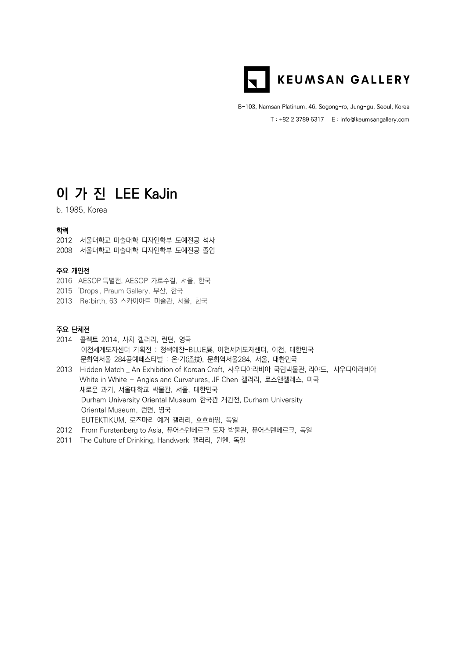

B-103, Namsan Platinum, 46, Sogong-ro, Jung-gu, Seoul, Korea T : +82 2 3789 6317 E : info@keumsangallery.com

# **이 가 진 LEE KaJin**

b. 1985, Korea

# 학력

2012 서울대학교 미술대학 디자인학부 도예전공 석사

2008 서울대학교 미술대학 디자인학부 도예전공 졸업

### 주요 개인전

- 2016 AESOP 특별전, AESOP 가로수길, 서울, 한국
- 2015 'Drops', Praum Gallery, 부산, 한국
- 2013 Re:birth, 63 스카이아트 미술관, 서울, 한국

## 주요 단체전

- 2014 콜렉트 2014, 사치 갤러리, 런던, 영국 이천세계도자센터 기획전 : 청색예찬-BLUE展, 이천세계도자센터, 이천, 대한민국 문화역서울 284공예페스티벌 : 온∙기(溫技), 문화역서울284, 서울, 대한민국
- 2013 Hidden Match \_ An Exhibition of Korean Craft, 사우디아라비아 국립박물관, 리야드, 사우디아라비아 White in White – Angles and Curvatures, JF Chen 갤러리, 로스앤젤레스, 미국 새로운 과거, 서울대학교 박물관, 서울, 대한민국 Durham University Oriental Museum 한국관 개관전, Durham University Oriental Museum, 런던, 영국 EUTEKTIKUM, 로즈마리 예거 갤러리, 호흐하임, 독일
- 2012 From Furstenberg to Asia, 퓨어스텐베르크 도자 박물관, 퓨어스텐베르크, 독일
- 2011 The Culture of Drinking, Handwerk 갤러리, 뮌헨, 독일